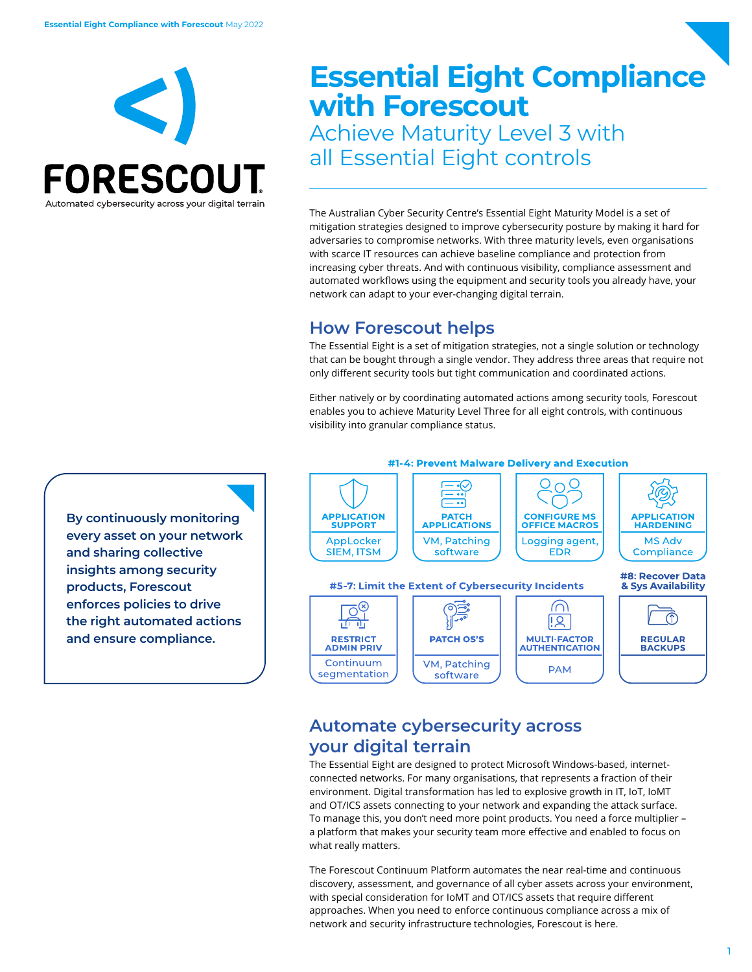

## **Essential Eight Compliance with Forescout**

Achieve Maturity Level 3 with all Essential Eight controls

The Australian Cyber Security Centre's Essential Eight Maturity Model is a set of mitigation strategies designed to improve cybersecurity posture by making it hard for adversaries to compromise networks. With three maturity levels, even organisations with scarce IT resources can achieve baseline compliance and protection from increasing cyber threats. And with continuous visibility, compliance assessment and automated workflows using the equipment and security tools you already have, your network can adapt to your ever-changing digital terrain.

## **How Forescout helps**

The Essential Eight is a set of mitigation strategies, not a single solution or technology that can be bought through a single vendor. They address three areas that require not only different security tools but tight communication and coordinated actions.

Either natively or by coordinating automated actions among security tools, Forescout enables you to achieve Maturity Level Three for all eight controls, with continuous visibility into granular compliance status.

**By continuously monitoring every asset on your network and sharing collective insights among security products, Forescout enforces policies to drive the right automated actions and ensure compliance.**

#### #1-4: Prevent Malware Delivery and Execution



### **Automate cybersecurity across your digital terrain**

The Essential Eight are designed to protect Microsoft Windows-based, internetconnected networks. For many organisations, that represents a fraction of their environment. Digital transformation has led to explosive growth in IT, IoT, IoMT and OT/ICS assets connecting to your network and expanding the attack surface. To manage this, you don't need more point products. You need a force multiplier – a platform that makes your security team more effective and enabled to focus on what really matters.

The Forescout Continuum Platform automates the near real-time and continuous discovery, assessment, and governance of all cyber assets across your environment, with special consideration for IoMT and OT/ICS assets that require different approaches. When you need to enforce continuous compliance across a mix of network and security infrastructure technologies, Forescout is here.